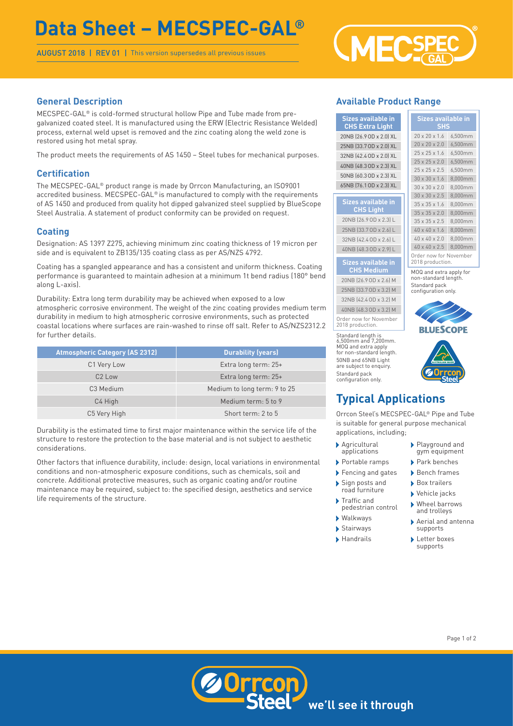# **Data Sheet – MECSPEC-GAL®**

AUGUST 2018 | REV 01 | This version supersedes all previous issues



### **General Description**

MECSPEC-GAL® is cold-formed structural hollow Pipe and Tube made from pregalvanized coated steel. It is manufactured using the ERW (Electric Resistance Welded) process, external weld upset is removed and the zinc coating along the weld zone is restored using hot metal spray.

The product meets the requirements of AS 1450 – Steel tubes for mechanical purposes.

### **Certification**

The MECSPEC-GAL® product range is made by Orrcon Manufacturing, an ISO9001 accredited business. MECSPEC-GAL® is manufactured to comply with the requirements of AS 1450 and produced from quality hot dipped galvanized steel supplied by BlueScope Steel Australia. A statement of product conformity can be provided on request.

### **Coating**

Designation: AS 1397 Z275, achieving minimum zinc coating thickness of 19 micron per side and is equivalent to ZB135/135 coating class as per AS/NZS 4792.

Coating has a spangled appearance and has a consistent and uniform thickness. Coating performance is guaranteed to maintain adhesion at a minimum 1t bend radius (180° bend along L-axis).

Durability: Extra long term durability may be achieved when exposed to a low atmospheric corrosive environment. The weight of the zinc coating provides medium term durability in medium to high atmospheric corrosive environments, such as protected coastal locations where surfaces are rain-washed to rinse off salt. Refer to AS/NZS2312.2 for further details.

| <b>Atmospheric Category (AS 2312)</b> | <b>Durability (years)</b>    |
|---------------------------------------|------------------------------|
| C1 Very Low                           | Extra long term: 25+         |
| $C2$ Low                              | Extra long term: 25+         |
| C <sub>3</sub> Medium                 | Medium to long term: 9 to 25 |
| C4 High                               | Medium term: 5 to 9          |
| C5 Very High                          | Short term: 2 to 5           |

Durability is the estimated time to first major maintenance within the service life of the structure to restore the protection to the base material and is not subject to aesthetic considerations.

Other factors that influence durability, include: design, local variations in environmental conditions and non-atmospheric exposure conditions, such as chemicals, soil and concrete. Additional protective measures, such as organic coating and/or routine maintenance may be required, subject to: the specified design, aesthetics and service life requirements of the structure.

### **Available Product Range**

**Sizes availa CHS Extra**  $20NB$  (26.9 OD  $x$ 25NB (33.7 OD :  $32NB$  (42.4 OD  $x$ 40NB (48.3 OD :  $50$ NB  $(60.30D)$ 65NB (76.1 OD  $\times$ 

| Sizes available in<br><b>SHS</b> |         |  |
|----------------------------------|---------|--|
| 20 x 20 x 1.6                    | 6.500mm |  |
| $20 \times 20 \times 2.0$        | 6,500mm |  |
| $25 \times 25 \times 1.6$        | 6,500mm |  |
| $25 \times 25 \times 2.0$        | 6,500mm |  |
| $25 \times 25 \times 2.5$        | 6,500mm |  |
| $30 \times 30 \times 1.6$        | 8,000mm |  |
| $30 \times 30 \times 2.0$        | 8,000mm |  |
| $30 \times 30 \times 2.5$        | 8,000mm |  |
| $35 \times 35 \times 1.6$        | 8,000mm |  |
| $35 \times 35 \times 2.0$        | 8,000mm |  |
| $35 \times 35 \times 2.5$        | 8,000mm |  |
| $40 \times 40 \times 1.6$        | 8,000mm |  |
| $40 \times 40 \times 2.0$        | 8,000mm |  |
| 40 x 40 x 2.5                    | 8,000mm |  |
|                                  |         |  |

#### **Sizes available in CHS Medium**

**CHS** Lig 20NB (26.9 OD 25NB (33.7 OD 32NB (42.4 OD 40NB (48.3 OD

20NB (26.9OD x 2.6) M 25NB (33.7OD x 3.2) M 32NB (42.4OD x 3.2) M 40NB (48.3OD x 3.2) M Order now for November 2018 production.

Standard length is 6,500mm and 7,200mm. MOQ and extra apply for non-standard length. 50NB and 65NB Light are subject to enquiry Standard pack configuration only.

### **Typical Applications**

Orrcon Steel's MECSPEC-GAL® Pipe and Tube is suitable for general purpose mechanical applications, including;

- › Agricultural applications
- › Portable ramps
- › Fencing and gates
- › Sign posts and road furniture
- › Traffic and pedestrian control
- › Walkways
- › Stairways
- › Handrails
- › Playground and gym equipment
- › Park benches
- › Bench frames
- › Box trailers
	- › Vehicle jacks
	- › Wheel barrows and trolleys
	- › Aerial and antenna supports
	- › Letter boxes supports







Order now for November 2018 production. MOQ and extra apply for non-standard length. Standard pack configuration only.